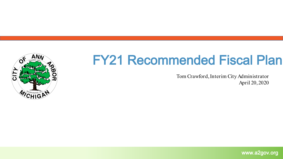

### FY21 Recommended Fiscal Plan

Tom Crawford, Interim City Administrator April 20, 2020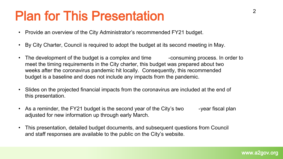### Plan for This Presentation

- Provide an overview of the City Administrator's recommended FY21 budget.
- By City Charter, Council is required to adopt the budget at its second meeting in May.
- The development of the budget is a complex and time example consuming process. In order to meet the timing requirements in the City charter, this budget was prepared about two weeks after the coronavirus pandemic hit locally. Consequently, this recommended budget is a baseline and does not include any impacts from the pandemic.
- Slides on the projected financial impacts from the coronavirus are included at the end of this presentation.
- As a reminder, the FY21 budget is the second year of the City's two year fiscal plan adjusted for new information up through early March.
- This presentation, detailed budget documents, and subsequent questions from Council and staff responses are available to the public on the City's website.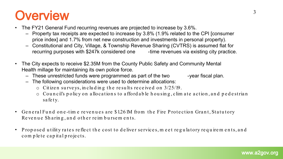### **Overview**

- The FY21 General Fund recurring revenues are projected to increase by 3.6%.
	- Property tax receipts are expected to increase by 3.8% (1.9% related to the CPI [consumer price index] and 1.7% from net new construction and investments in personal property).
	- Constitutional and City, Village, & Township Revenue Sharing (CVTRS) is assumed flat for recurring purposes with \$247k considered one -time revenues via existing city practice.
- The City expects to receive \$2.35M from the County Public Safety and Community Mental Health millage for maintaining its own police force.
	- These unrestricted funds were programmed as part of the two -year fiscal plan.
	- The following considerations were used to determine allocations:
		- o Citize n su rve ys, in clu d in g th e re su lts re ce ive d on 3/25/19.
		- $\circ$  Council's policy on allocations to afford able housing, clim ate action, and pedestrian sa fe ty.
- General Fund one-time revenues are \$1.261M from the Fire Protection Grant, Statutory Re venue Sharing, and other reim bursements.
- P rop ose d u tility ra te s re fle ct th e cost to d e live r se rvice s, m e e t re g u la tory re q u ire m e n ts, a n d com p le te capital projects.

3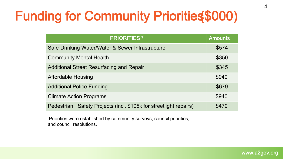## Funding for Community Priorities(\$000)

| <b>PRIORITIES<sup>1</sup></b>                                        | <b>Amounts</b> |
|----------------------------------------------------------------------|----------------|
| Safe Drinking Water/Water & Sewer Infrastructure                     | \$574          |
| <b>Community Mental Health</b>                                       | \$350          |
| <b>Additional Street Resurfacing and Repair</b>                      | \$345          |
| <b>Affordable Housing</b>                                            | \$940          |
| <b>Additional Police Funding</b>                                     | \$679          |
| <b>Climate Action Programs</b>                                       | \$940          |
| Safety Projects (incl. \$105k for streetlight repairs)<br>Pedestrian | \$470          |

1 Priorities were established by community surveys, council priorities, and council resolutions.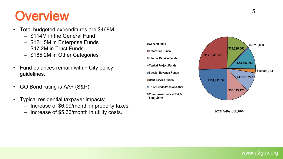### **Overview**

- Total budgeted expenditures are \$468M.
	- \$114M in the General Fund
	- \$121.5M in Enterprise Funds
	- \$47.2M in Trust Funds
	- \$185.2M in Other Categories
- Fund balances remain within City policy guidelines.
- GO Bond rating is AA+ (S&P)
- Typical residential taxpayer impacts:
	- Increase of \$6.99/month in property taxes.
	- Increase of \$5.36/month in utility costs.



Total \$467,986,664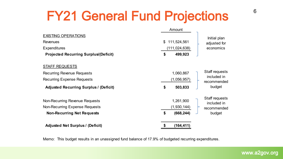## FY21 General Fund Projections 6

|                                               | Amount            |                               |
|-----------------------------------------------|-------------------|-------------------------------|
| <b>EXISTING OPERATIONS</b>                    |                   | Initial plan                  |
| <b>Revenues</b>                               | \$<br>111,524,561 | adjusted for                  |
| <b>Expenditures</b>                           | (111, 024, 638)   | economics                     |
| <b>Projected Recurring Surplus (Deficit)</b>  | \$<br>499,923     |                               |
| <b>STAFF REQUESTS</b>                         |                   |                               |
| <b>Recurring Revenue Requests</b>             | 1,060,867         | Staff requests                |
| <b>Recurring Expense Requests</b>             | (1,056,957)       | included in<br>recommended    |
| <b>Adjusted Recurring Surplus / (Deficit)</b> | \$<br>503,833     | budget                        |
| Non-Recurring Revenue Requests                | 1,261,900         | Staff requests<br>included in |
| Non-Recurring Expense Requests                | (1,930,144)       | recommended                   |
| <b>Non-Recurring Net Requests</b>             | \$<br>(668, 244)  | budget                        |
| <b>Adjusted Net Surplus / (Deficit)</b>       | \$<br>(164, 411)  |                               |

Memo: This budget results in an unassigned fund balance of 17.9% of budgeted recurring expenditures.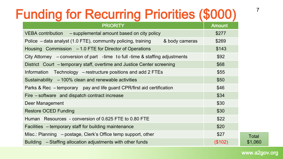## Funding for Recurring Priorities (\$000)

| <b>PRIORITY</b>                                                                    | <b>Amount</b> |
|------------------------------------------------------------------------------------|---------------|
| VEBA contribution - supplemental amount based on city policy                       | \$277         |
| Police – data analyst (1.0 FTE), community policing, training<br>& body cameras    | \$269         |
| Housing Commission – 1.0 FTE for Director of Operations                            | \$143         |
| City Attorney $\,$ – conversion of part -time to full -time & staffing adjustments | \$92          |
| District Court – temporary staff, overtime and Justice Center screening            | \$68          |
| Information Technology – restructure positions and add 2 FTEs                      | \$55          |
| Sustainability $-100\%$ clean and renewable activities                             | \$50          |
| Parks & Rec - temporary pay and life guard CPR/first aid certification             | \$46          |
| Fire – software and dispatch contract increase                                     | \$34          |
| Deer Management                                                                    | \$30          |
| <b>Restore OCED Funding</b>                                                        | \$30          |
| Human Resources - conversion of 0.625 FTE to 0.80 FTE                              | \$22          |
| Facilities – temporary staff for building maintenance                              | \$20          |
| Misc.: Planning – postage, Clerk's Office temp support, other                      | \$27          |
| Building – Staffing allocation adjustments with other funds                        | (\$102)       |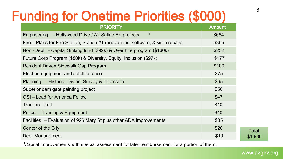## Funding for Onetime Priorities (\$000)

| <b>PRIORITY</b>                                                                  | <b>Amount</b> |
|----------------------------------------------------------------------------------|---------------|
| $\mathbf{1}$<br>- Hollywood Drive / A2 Saline Rd projects<br>Engineering         | \$654         |
| Fire - Plans for Fire Station, Station #1 renovations, software, & siren repairs | \$365         |
| Non-Dept – Capital Sinking fund (\$92k) & Over hire program (\$160k)             | \$252         |
| Future Corp Program (\$80k) & Diversity, Equity, Inclusion (\$97k)               | \$177         |
| Resident Driven Sidewalk Gap Program                                             | \$100         |
| Election equipment and satellite office                                          | \$75          |
| Planning - Historic District Survey & Internship                                 | \$65          |
| Superior dam gate painting project                                               | \$50          |
| OSI-Lead for America Fellow                                                      | \$47          |
| <b>Treeline Trail</b>                                                            | \$40          |
| Police - Training & Equipment                                                    | \$40          |
| Facilities – Evaluation of 926 Mary St plus other ADA improvements               | \$35          |
| Center of the City                                                               | \$20          |
| <b>Deer Management</b>                                                           | \$10          |

1 Capital improvements with special assessment for later reimbursement for a portion of them.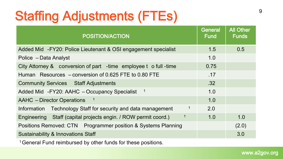## Staffing Adjustments (FTEs)

| <b>POSITION/ACTION</b>                                           | <b>General</b><br><b>Fund</b> | <b>All Other</b><br><b>Funds</b> |
|------------------------------------------------------------------|-------------------------------|----------------------------------|
| Added Mid - FY20: Police Lieutenant & OSI engagement specialist  | 1.5                           | 0.5                              |
| Police - Data Analyst                                            | 1.0                           |                                  |
| City Attorney & conversion of part -time employee t o full -time | 0.75                          |                                  |
| Human Resources – conversion of 0.625 FTE to 0.80 FTE            | .17                           |                                  |
| <b>Community Services Staff Adjustments</b>                      | .32                           |                                  |
| Added Mid - FY20: AAHC - Occupancy Specialist<br>$\overline{1}$  | 1.0                           |                                  |
| $\overline{1}$<br><b>AAHC</b> – Director Operations              | 1.0                           |                                  |
| Information Technology Staff for security and data management    | 2.0                           |                                  |
| Engineering Staff (capital projects engin. / ROW permit coord.)  | 1.0                           | 1.0                              |
| Positions Removed: CTN  Programmer position & Systems Planning   |                               | (2.0)                            |
| <b>Sustainability &amp; Innovations Staff</b>                    |                               | 3.0                              |

<sup>1</sup> General Fund reimbursed by other funds for these positions.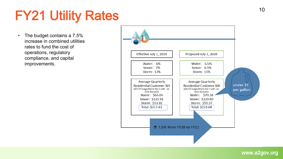## FY21 Utility Rates

• The budget contains a 7.5% increase in combined utilities rates to fund the cost of operations, regulatory compliance, and capital improvements.

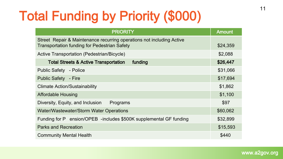# Total Funding by Priority (\$000)

| <b>PRIORITY</b>                                                                                                              | <b>Amount</b> |
|------------------------------------------------------------------------------------------------------------------------------|---------------|
| Street Repair & Maintenance recurring operations not including Active<br><b>Transportation funding for Pedestrian Safety</b> | \$24,359      |
| Active Transportation (Pedestrian/Bicycle)                                                                                   | \$2,088       |
| <b>Total Streets &amp; Active Transportation</b><br>funding                                                                  | \$26,447      |
| <b>Public Safety</b> - Police                                                                                                | \$31,066      |
| <b>Public Safety - Fire</b>                                                                                                  | \$17,694      |
| <b>Climate Action/Sustainability</b>                                                                                         | \$1,862       |
| <b>Affordable Housing</b>                                                                                                    | \$1,100       |
| Diversity, Equity, and Inclusion<br>Programs                                                                                 | \$97          |
| Water/Wastewater/Storm Water Operations                                                                                      | \$60,062      |
| Funding for P ension/OPEB -includes \$500K supplemental GF funding                                                           | \$32,899      |
| <b>Parks and Recreation</b>                                                                                                  | \$15,593      |
| <b>Community Mental Health</b>                                                                                               | \$440         |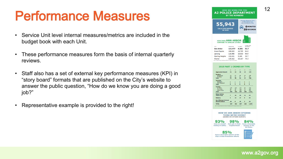## Performance Measures

- Service Unit level internal measures/metrics are included in the budget book with each Unit.
- These performance measures form the basis of internal quarterly reviews.
- Staff also has a set of external key performance measures (KPI) in "story board" formats that are published on the City's website to answer the public question, "How do we know you are doing a good job?"
- Representative example is provided to the right!

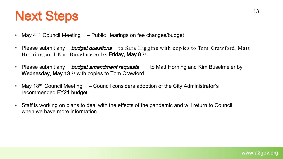## Next Steps

- May 4<sup>th</sup> Council Meeting  $-$  Public Hearings on fee changes/budget
- Please submit any *budget questions* to Sara Higgins with copies to Tom Crawford, Matt Horn in g, and Kim Buselm e ier by Friday, May 8<sup>th</sup>.
- Please submit any *budget amendment requests* to Matt Horning and Kim Buselmeier by Wednesday, May 13<sup>th</sup> with copies to Tom Crawford.
- May 18<sup>th</sup> Council Meeting  $-$  Council considers adoption of the City Administrator's recommended FY21 budget.
- Staff is working on plans to deal with the effects of the pandemic and will return to Council when we have more information.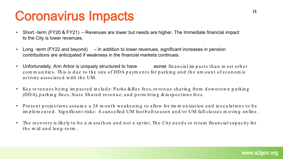## Coronavirus Impacts

- Short -term (FY20 & FY21) Revenues are lower but needs are higher. The Immediate financial impact to the City is lower revenues.
- Long -term (FY22 and beyond) In addition to lower revenues, significant increases in pension contributions are anticipated if weakness in the financial markets continues.
- Unfortunately, Ann Arbor is uniquely structured to have worse fin an cial im pacts than m ost other com m unities. This is due to the size of DDA paym ents for parking and the amount of economic activity associated with the UM.
- Key revenues being impacted include: Parks & Rec fees, revenue sharing from downtown parking (DDA), parking fines, State Shared revenue, and permitting  $\&$  inspections fees.
- Present projections assume a 24 m on th weakening to allow for immunization and inoculations to be im p le m en ted. Significant risks: A cancelled UM football season and/or UM fall classes m oving on line.
- The recovery is likely to be a m arath on and not a sprint. The City needs to retain financial capacity for the m id and long-term.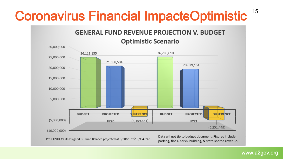## Coronavirus Financial Impacts Optimistic <sup>15</sup>

### **GENERAL FUND REVENUE PROJECTION V. BUDGET**



Pre-COVID-19 Unassigned GF Fund Balance projected at 6/30/20 = \$15,964,597

Data wil not tie to budget document. Figures include parking, fines, parks, building, & state shared revenue.